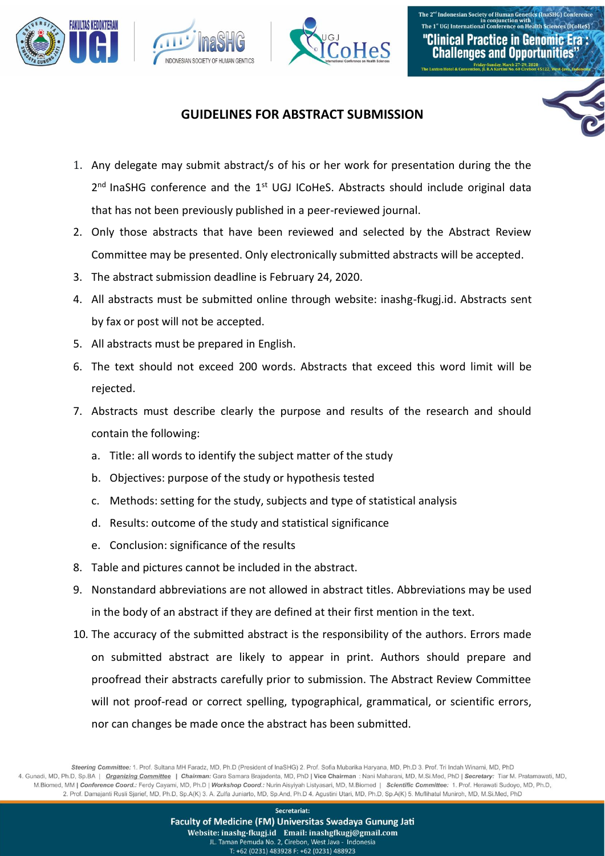





## **GUIDELINES FOR ABSTRACT SUBMISSION**

- 1. Any delegate may submit abstract/s of his or her work for presentation during the the 2<sup>nd</sup> InaSHG conference and the 1<sup>st</sup> UGJ ICoHeS. Abstracts should include original data that has not been previously published in a peer-reviewed journal.
- 2. Only those abstracts that have been reviewed and selected by the Abstract Review Committee may be presented. Only electronically submitted abstracts will be accepted.
- 3. The abstract submission deadline is February 24, 2020.
- 4. All abstracts must be submitted online through website: inashg-fkugj.id. Abstracts sent by fax or post will not be accepted.
- 5. All abstracts must be prepared in English.
- 6. The text should not exceed 200 words. Abstracts that exceed this word limit will be rejected.
- 7. Abstracts must describe clearly the purpose and results of the research and should contain the following:
	- a. Title: all words to identify the subject matter of the study
	- b. Objectives: purpose of the study or hypothesis tested
	- c. Methods: setting for the study, subjects and type of statistical analysis
	- d. Results: outcome of the study and statistical significance
	- e. Conclusion: significance of the results
- 8. Table and pictures cannot be included in the abstract.
- 9. Nonstandard abbreviations are not allowed in abstract titles. Abbreviations may be used in the body of an abstract if they are defined at their first mention in the text.
- 10. The accuracy of the submitted abstract is the responsibility of the authors. Errors made on submitted abstract are likely to appear in print. Authors should prepare and proofread their abstracts carefully prior to submission. The Abstract Review Committee will not proof-read or correct spelling, typographical, grammatical, or scientific errors, nor can changes be made once the abstract has been submitted.

Steering Committee: 1. Prof. Sultana MH Faradz, MD, Ph.D (President of InaSHG) 2. Prof. Sofia Mubarika Haryana, MD, Ph.D 3. Prof. Tri Indah Winarni, MD, PhD 4. Gunadi, MD, Ph.D, Sp.BA | Organizing Committee | Chairman: Gara Samara Brajadenta, MD, PhD | Vice Chairman : Nani Maharani, MD, M.Si.Med, PhD | Secretary: Tiar M. Pratamawati, MD, M.Biomed, MM | Conference Coord.: Ferdy Cayami, MD, Ph.D | Workshop Coord.: Nurin Aisyiyah Listyasari, MD, M.Biomed | Scientific Committee: 1. Prof. Herawati Sudoyo, MD, Ph.D, 2. Prof. Damajanti Rusli Sjarief, MD, Ph.D, Sp.A(K) 3. A. Zulfa Juniarto, MD, Sp.And, Ph.D 4. Agustini Utari, MD, Ph.D, Sp.A(K) 5. Muflihatul Muniroh, MD, M.Si.Med, PhD